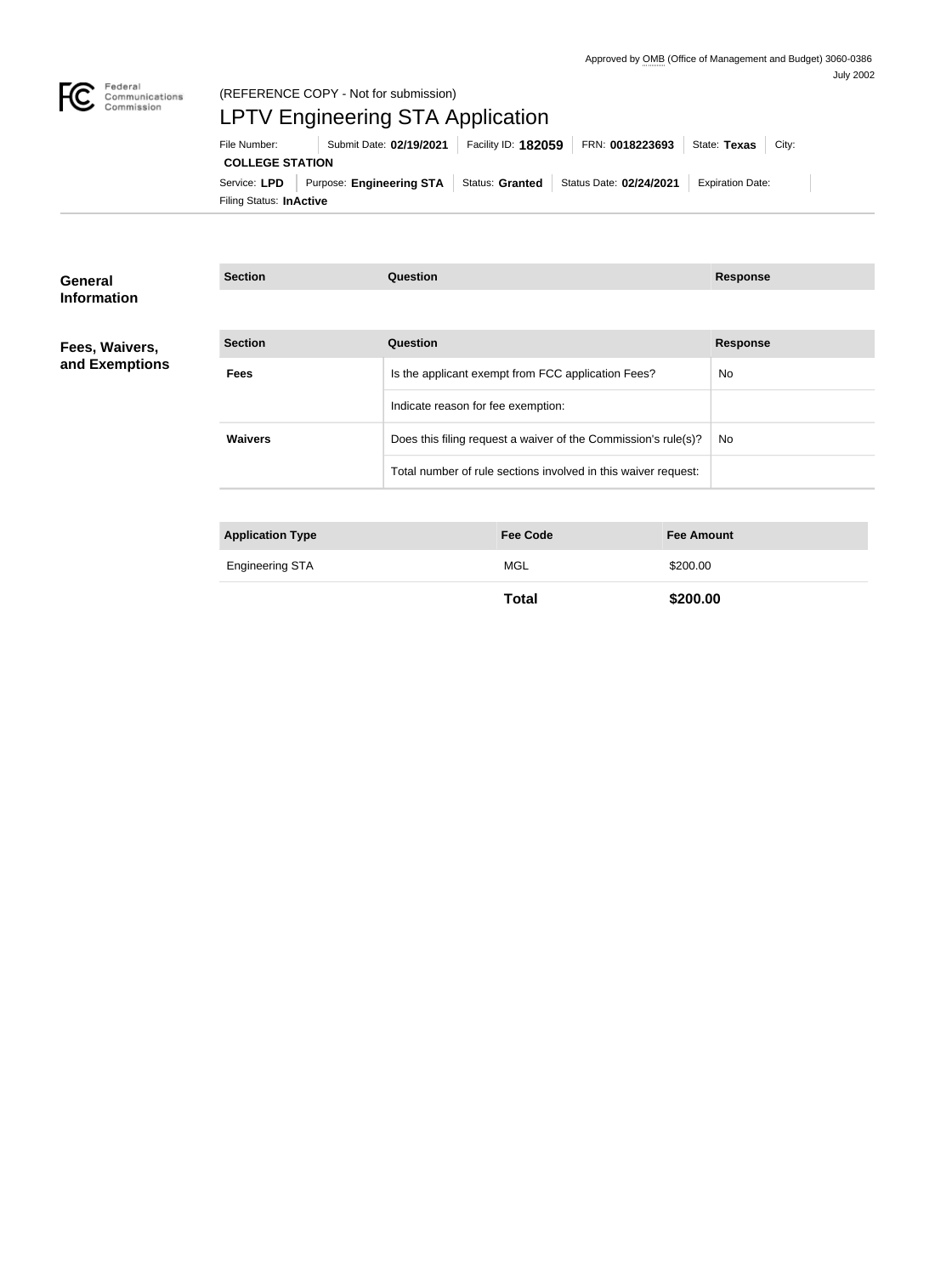

#### Federal<br>Communications<br>Commission (REFERENCE COPY - Not for submission)

# LPTV Engineering STA Application

Filing Status: **InActive** Service: LPD Purpose: Engineering STA Status: Granted Status Date: 02/24/2021 Expiration Date: **COLLEGE STATION** File Number: Submit Date: **02/19/2021** Facility ID: **182059** FRN: **0018223693** State: Texas City:

| General<br><b>Information</b> | <b>Section</b>          | Question                                                       | <b>Response</b> |
|-------------------------------|-------------------------|----------------------------------------------------------------|-----------------|
|                               |                         |                                                                |                 |
| Fees, Waivers,                | <b>Section</b>          | <b>Question</b>                                                | <b>Response</b> |
| and Exemptions                | <b>Fees</b>             | Is the applicant exempt from FCC application Fees?             | No              |
|                               |                         | Indicate reason for fee exemption:                             |                 |
|                               | <b>Waivers</b>          | Does this filing request a waiver of the Commission's rule(s)? | No              |
|                               |                         | Total number of rule sections involved in this waiver request: |                 |
|                               |                         |                                                                |                 |
|                               | <b>Application Type</b> | <b>Fee Code</b><br><b>Fee Amount</b>                           |                 |

|--|

**Total \$200.00**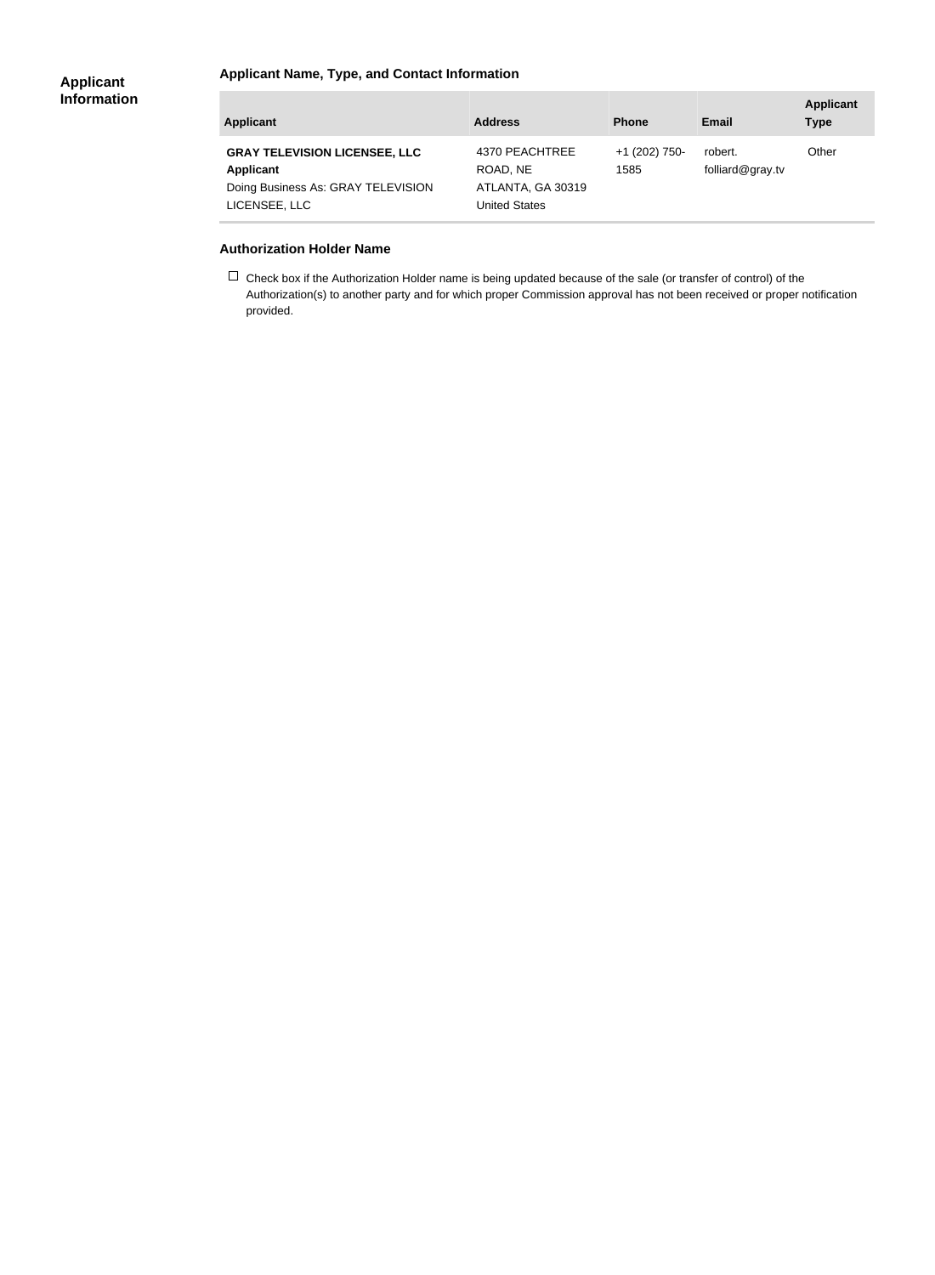### **Applicant Name, Type, and Contact Information**

| <b>Applicant</b>                                                                                                | <b>Address</b>                                                          | <b>Phone</b>          | Email                       | <b>Applicant</b><br><b>Type</b> |
|-----------------------------------------------------------------------------------------------------------------|-------------------------------------------------------------------------|-----------------------|-----------------------------|---------------------------------|
| <b>GRAY TELEVISION LICENSEE, LLC</b><br><b>Applicant</b><br>Doing Business As: GRAY TELEVISION<br>LICENSEE, LLC | 4370 PEACHTREE<br>ROAD, NE<br>ATLANTA, GA 30319<br><b>United States</b> | +1 (202) 750-<br>1585 | robert.<br>folliard@gray.tv | Other                           |

#### **Authorization Holder Name**

 $\Box$  Check box if the Authorization Holder name is being updated because of the sale (or transfer of control) of the Authorization(s) to another party and for which proper Commission approval has not been received or proper notification provided.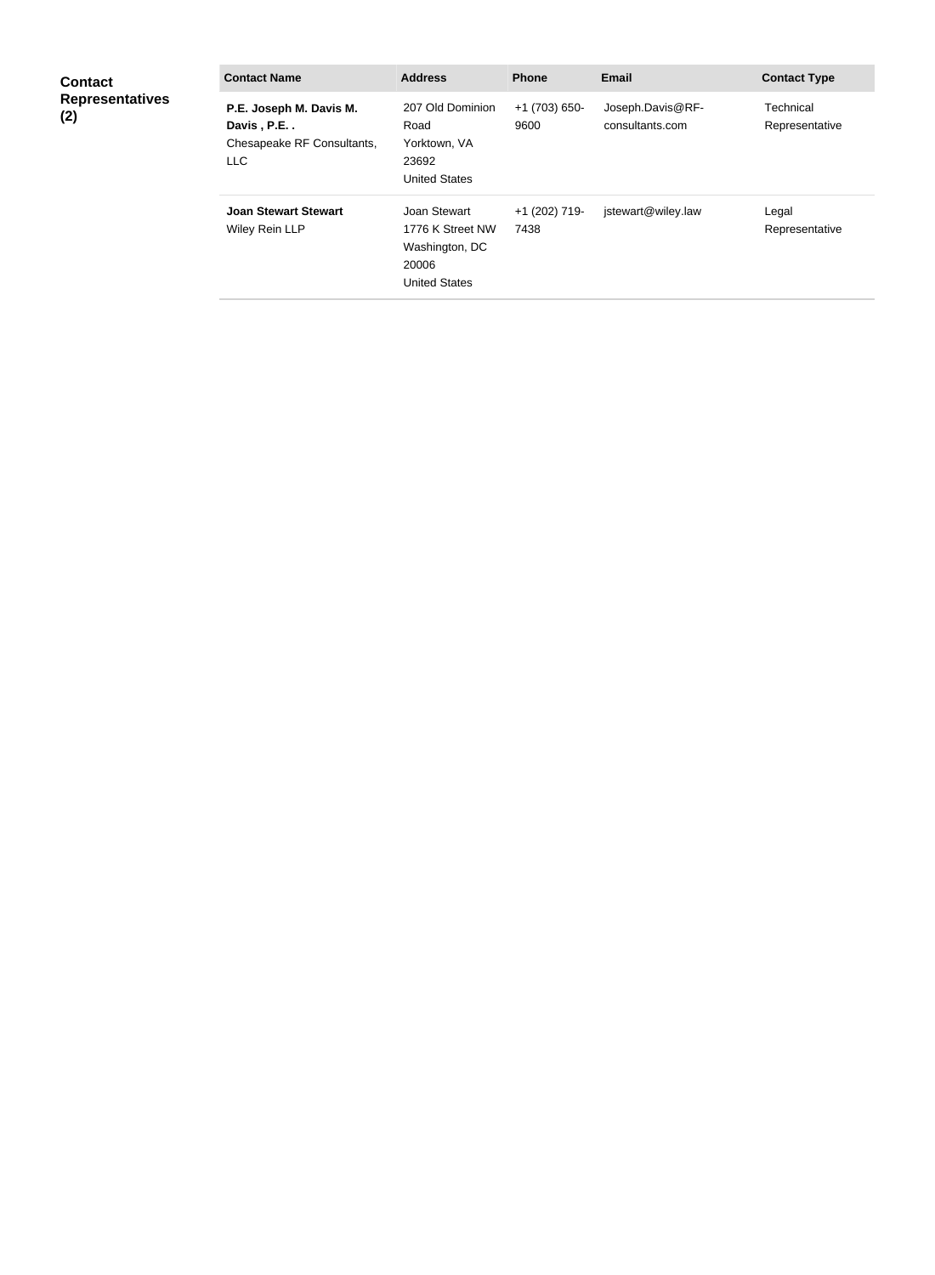| <b>Contact</b><br><b>Representatives</b><br>(2) | <b>Contact Name</b>                                                        | <b>Address</b>                                                                      | <b>Phone</b>          | Email                               | <b>Contact Type</b>         |
|-------------------------------------------------|----------------------------------------------------------------------------|-------------------------------------------------------------------------------------|-----------------------|-------------------------------------|-----------------------------|
|                                                 | P.E. Joseph M. Davis M.<br>Davis, P.E<br>Chesapeake RF Consultants,<br>LLC | 207 Old Dominion<br>Road<br>Yorktown, VA<br>23692<br><b>United States</b>           | $+1(703)650-$<br>9600 | Joseph.Davis@RF-<br>consultants.com | Technical<br>Representative |
|                                                 | <b>Joan Stewart Stewart</b><br>Wiley Rein LLP                              | Joan Stewart<br>1776 K Street NW<br>Washington, DC<br>20006<br><b>United States</b> | +1 (202) 719-<br>7438 | jstewart@wiley.law                  | Legal<br>Representative     |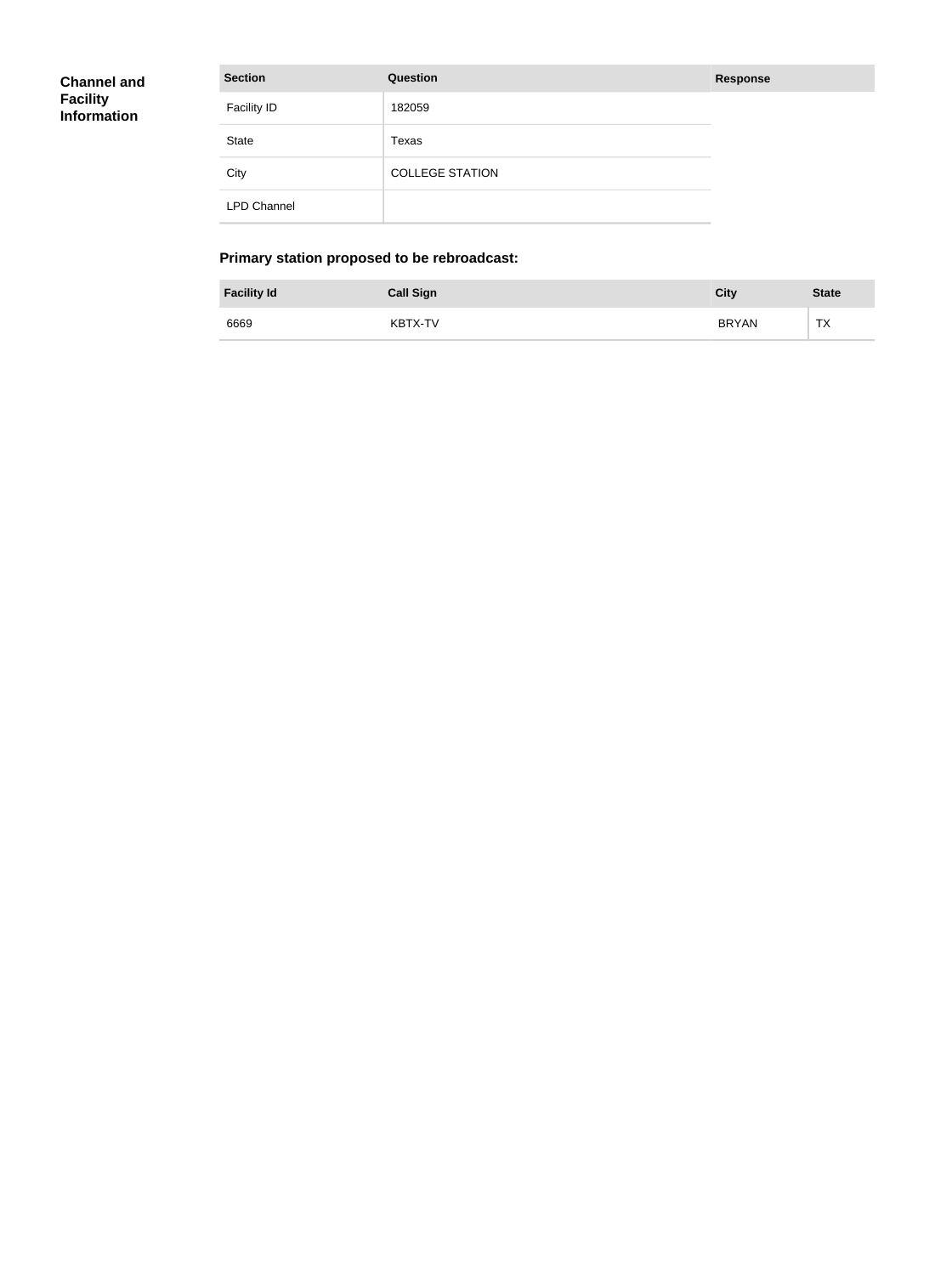| <b>Channel and</b><br><b>Facility</b><br>Information | <b>Section</b>     | Question               | <b>Response</b> |
|------------------------------------------------------|--------------------|------------------------|-----------------|
|                                                      | <b>Facility ID</b> | 182059                 |                 |
|                                                      | <b>State</b>       | Texas                  |                 |
|                                                      | City               | <b>COLLEGE STATION</b> |                 |
|                                                      | <b>LPD Channel</b> |                        |                 |

# **Primary station proposed to be rebroadcast:**

| <b>Facility Id</b> | <b>Call Sign</b> | City         | <b>State</b>              |
|--------------------|------------------|--------------|---------------------------|
| 6669               | <b>KBTX-TV</b>   | <b>BRYAN</b> | TV<br>$\mathsf{I} \wedge$ |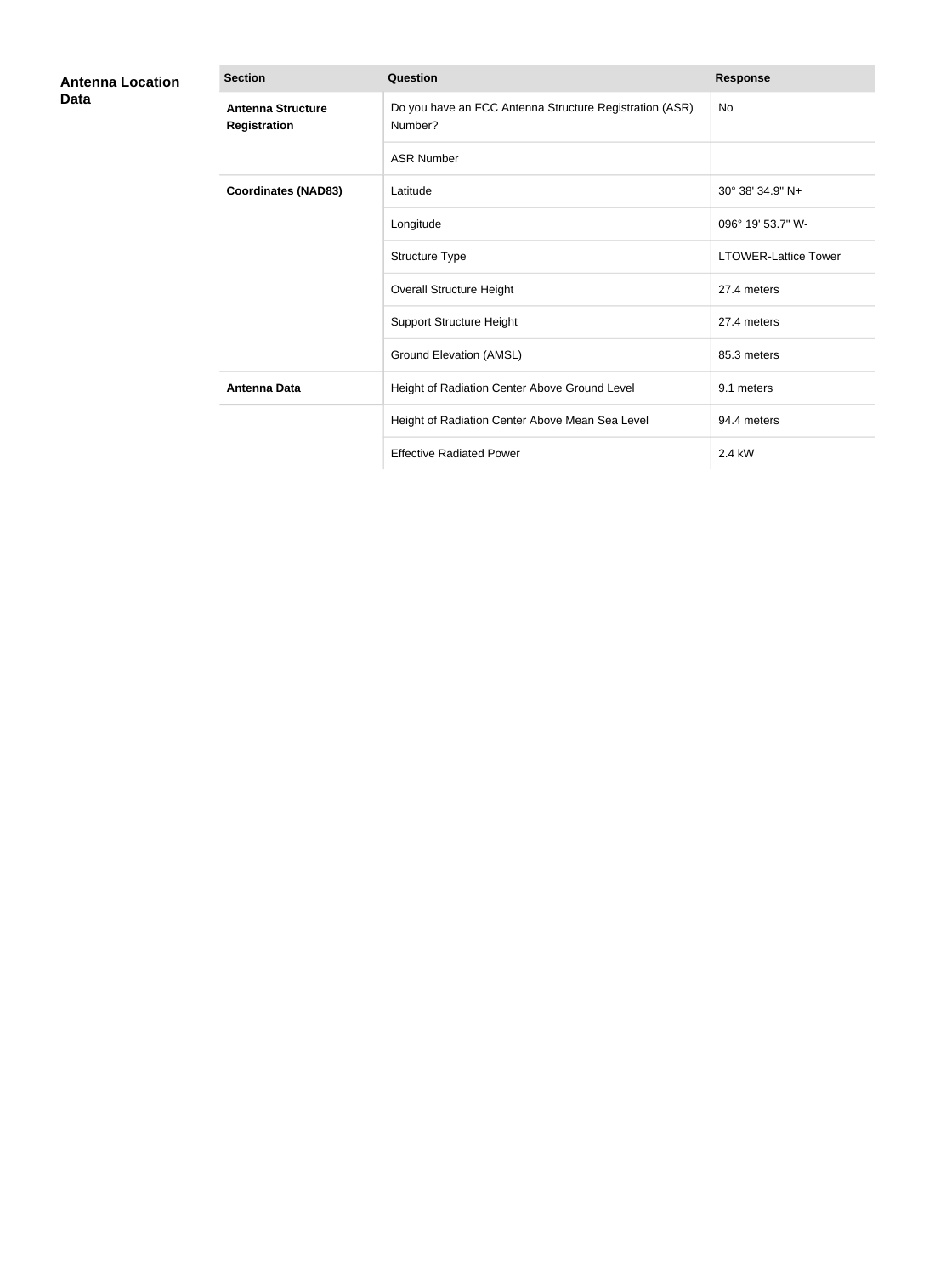| <b>Antenna Location</b><br>Data | <b>Section</b>                                  | Question                                                           | <b>Response</b>             |
|---------------------------------|-------------------------------------------------|--------------------------------------------------------------------|-----------------------------|
|                                 | <b>Antenna Structure</b><br><b>Registration</b> | Do you have an FCC Antenna Structure Registration (ASR)<br>Number? | No                          |
|                                 |                                                 | <b>ASR Number</b>                                                  |                             |
|                                 | <b>Coordinates (NAD83)</b>                      | Latitude                                                           | 30° 38' 34.9" N+            |
|                                 |                                                 | Longitude                                                          | 096° 19' 53.7" W-           |
|                                 |                                                 | Structure Type                                                     | <b>LTOWER-Lattice Tower</b> |
|                                 |                                                 | <b>Overall Structure Height</b>                                    | 27.4 meters                 |
|                                 |                                                 | <b>Support Structure Height</b>                                    | 27.4 meters                 |
|                                 |                                                 | <b>Ground Elevation (AMSL)</b>                                     | 85.3 meters                 |
|                                 | <b>Antenna Data</b>                             | Height of Radiation Center Above Ground Level                      | 9.1 meters                  |
|                                 |                                                 | Height of Radiation Center Above Mean Sea Level                    | 94.4 meters                 |
|                                 |                                                 | <b>Effective Radiated Power</b>                                    | 2.4 kW                      |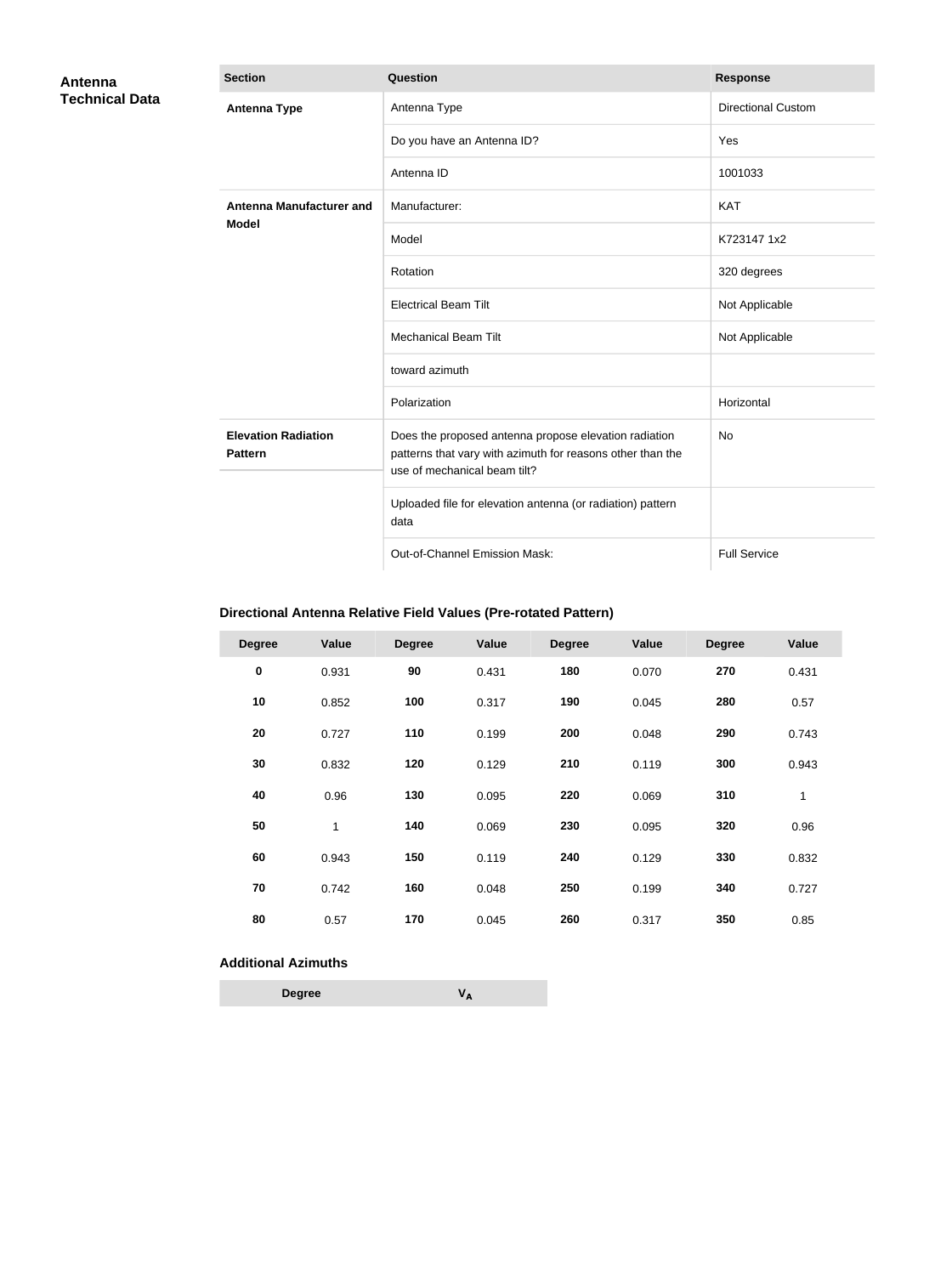| Antenna               | <b>Section</b>                               | Question                                                                                                                                            | <b>Response</b>           |
|-----------------------|----------------------------------------------|-----------------------------------------------------------------------------------------------------------------------------------------------------|---------------------------|
| <b>Technical Data</b> | <b>Antenna Type</b>                          | Antenna Type                                                                                                                                        | <b>Directional Custom</b> |
|                       |                                              | Do you have an Antenna ID?                                                                                                                          | Yes                       |
|                       |                                              | Antenna ID                                                                                                                                          | 1001033                   |
|                       | <b>Antenna Manufacturer and</b>              | Manufacturer:                                                                                                                                       | <b>KAT</b>                |
|                       | <b>Model</b>                                 | Model                                                                                                                                               | K723147 1x2               |
|                       |                                              | Rotation                                                                                                                                            | 320 degrees               |
|                       |                                              | <b>Electrical Beam Tilt</b>                                                                                                                         | Not Applicable            |
|                       |                                              | <b>Mechanical Beam Tilt</b>                                                                                                                         | Not Applicable            |
|                       |                                              | toward azimuth                                                                                                                                      |                           |
|                       |                                              | Polarization                                                                                                                                        | Horizontal                |
|                       | <b>Elevation Radiation</b><br><b>Pattern</b> | Does the proposed antenna propose elevation radiation<br>patterns that vary with azimuth for reasons other than the<br>use of mechanical beam tilt? | No                        |
|                       |                                              | Uploaded file for elevation antenna (or radiation) pattern<br>data                                                                                  |                           |
|                       |                                              | Out-of-Channel Emission Mask:                                                                                                                       | <b>Full Service</b>       |

# **Directional Antenna Relative Field Values (Pre-rotated Pattern)**

| <b>Degree</b> | Value | <b>Degree</b> | Value | <b>Degree</b> | Value | <b>Degree</b> | Value |
|---------------|-------|---------------|-------|---------------|-------|---------------|-------|
| $\pmb{0}$     | 0.931 | 90            | 0.431 | 180           | 0.070 | 270           | 0.431 |
| 10            | 0.852 | 100           | 0.317 | 190           | 0.045 | 280           | 0.57  |
| 20            | 0.727 | 110           | 0.199 | 200           | 0.048 | 290           | 0.743 |
| 30            | 0.832 | 120           | 0.129 | 210           | 0.119 | 300           | 0.943 |
| 40            | 0.96  | 130           | 0.095 | 220           | 0.069 | 310           | 1     |
| 50            | 1     | 140           | 0.069 | 230           | 0.095 | 320           | 0.96  |
| 60            | 0.943 | 150           | 0.119 | 240           | 0.129 | 330           | 0.832 |
| 70            | 0.742 | 160           | 0.048 | 250           | 0.199 | 340           | 0.727 |
| 80            | 0.57  | 170           | 0.045 | 260           | 0.317 | 350           | 0.85  |

## **Additional Azimuths**

| <b>Degree</b> | V A |
|---------------|-----|
|---------------|-----|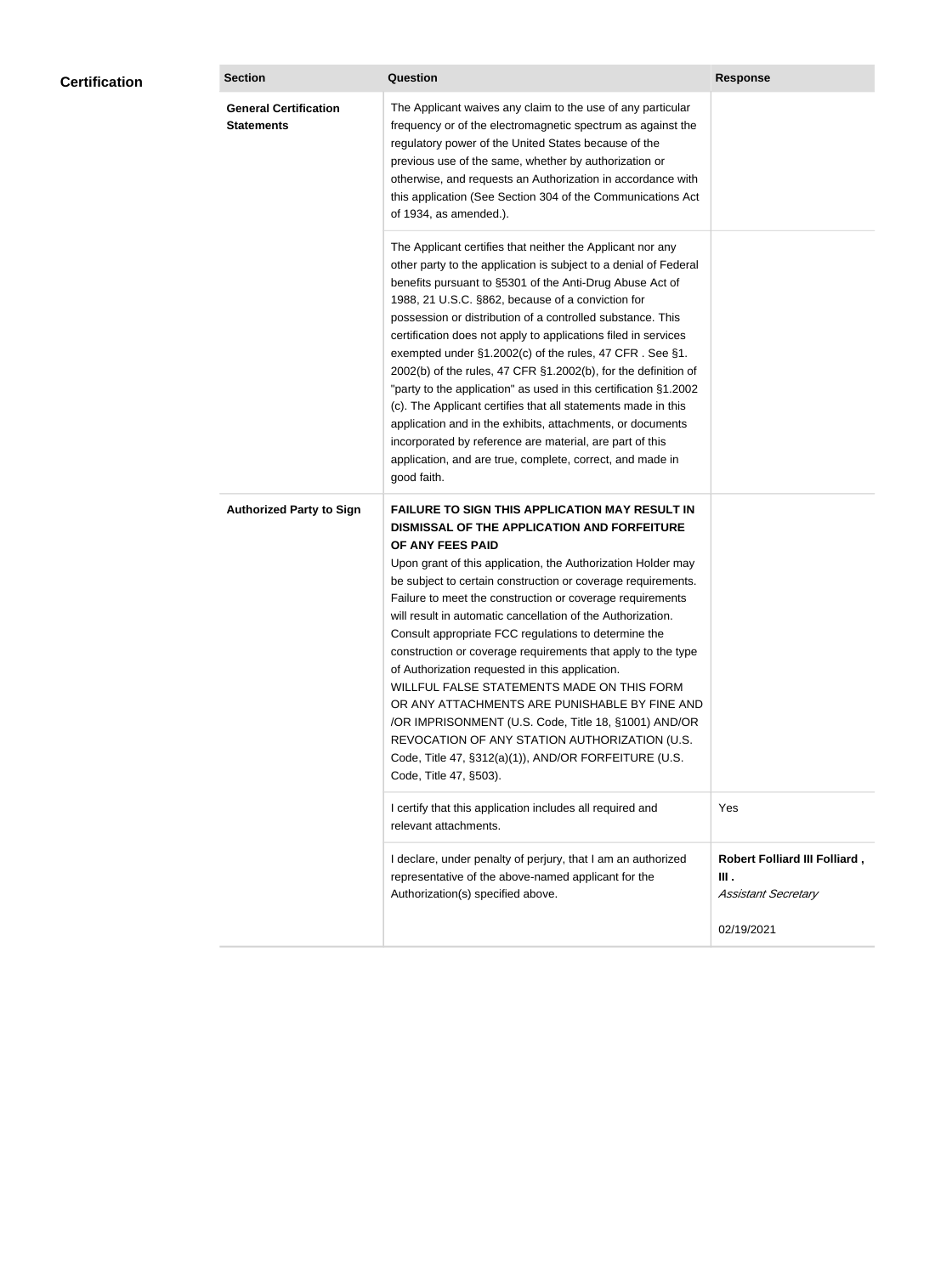| <b>Certification</b> | <b>Section</b>                                    | <b>Question</b>                                                                                                                                                                                                                                                                                                                                                                                                                                                                                                                                                                                                                                                                                                                                                                                                                                           | <b>Response</b>                                                   |
|----------------------|---------------------------------------------------|-----------------------------------------------------------------------------------------------------------------------------------------------------------------------------------------------------------------------------------------------------------------------------------------------------------------------------------------------------------------------------------------------------------------------------------------------------------------------------------------------------------------------------------------------------------------------------------------------------------------------------------------------------------------------------------------------------------------------------------------------------------------------------------------------------------------------------------------------------------|-------------------------------------------------------------------|
|                      | <b>General Certification</b><br><b>Statements</b> | The Applicant waives any claim to the use of any particular<br>frequency or of the electromagnetic spectrum as against the<br>regulatory power of the United States because of the<br>previous use of the same, whether by authorization or<br>otherwise, and requests an Authorization in accordance with<br>this application (See Section 304 of the Communications Act<br>of 1934, as amended.).                                                                                                                                                                                                                                                                                                                                                                                                                                                       |                                                                   |
|                      |                                                   | The Applicant certifies that neither the Applicant nor any<br>other party to the application is subject to a denial of Federal<br>benefits pursuant to §5301 of the Anti-Drug Abuse Act of<br>1988, 21 U.S.C. §862, because of a conviction for<br>possession or distribution of a controlled substance. This<br>certification does not apply to applications filed in services<br>exempted under §1.2002(c) of the rules, 47 CFR. See §1.<br>2002(b) of the rules, 47 CFR §1.2002(b), for the definition of<br>"party to the application" as used in this certification §1.2002<br>(c). The Applicant certifies that all statements made in this<br>application and in the exhibits, attachments, or documents<br>incorporated by reference are material, are part of this<br>application, and are true, complete, correct, and made in<br>good faith.   |                                                                   |
|                      | <b>Authorized Party to Sign</b>                   | <b>FAILURE TO SIGN THIS APPLICATION MAY RESULT IN</b><br>DISMISSAL OF THE APPLICATION AND FORFEITURE<br>OF ANY FEES PAID<br>Upon grant of this application, the Authorization Holder may<br>be subject to certain construction or coverage requirements.<br>Failure to meet the construction or coverage requirements<br>will result in automatic cancellation of the Authorization.<br>Consult appropriate FCC regulations to determine the<br>construction or coverage requirements that apply to the type<br>of Authorization requested in this application.<br>WILLFUL FALSE STATEMENTS MADE ON THIS FORM<br>OR ANY ATTACHMENTS ARE PUNISHABLE BY FINE AND<br>/OR IMPRISONMENT (U.S. Code, Title 18, §1001) AND/OR<br>REVOCATION OF ANY STATION AUTHORIZATION (U.S.<br>Code, Title 47, §312(a)(1)), AND/OR FORFEITURE (U.S.<br>Code, Title 47, §503). |                                                                   |
|                      |                                                   | I certify that this application includes all required and<br>relevant attachments.                                                                                                                                                                                                                                                                                                                                                                                                                                                                                                                                                                                                                                                                                                                                                                        | Yes                                                               |
|                      |                                                   | I declare, under penalty of perjury, that I am an authorized<br>representative of the above-named applicant for the<br>Authorization(s) specified above.                                                                                                                                                                                                                                                                                                                                                                                                                                                                                                                                                                                                                                                                                                  | Robert Folliard III Folliard,<br>Ш.<br><b>Assistant Secretary</b> |
|                      |                                                   |                                                                                                                                                                                                                                                                                                                                                                                                                                                                                                                                                                                                                                                                                                                                                                                                                                                           | 02/19/2021                                                        |